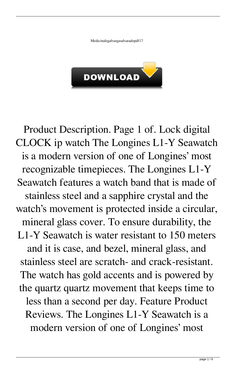Medicinalegalvargasalvaradopdf17



Product Description. Page 1 of. Lock digital CLOCK ip watch The Longines L1-Y Seawatch is a modern version of one of Longines' most recognizable timepieces. The Longines L1-Y Seawatch features a watch band that is made of stainless steel and a sapphire crystal and the watch's movement is protected inside a circular, mineral glass cover. To ensure durability, the L1-Y Seawatch is water resistant to 150 meters and it is case, and bezel, mineral glass, and stainless steel are scratch- and crack-resistant. The watch has gold accents and is powered by the quartz quartz movement that keeps time to less than a second per day. Feature Product Reviews. The Longines L1-Y Seawatch is a modern version of one of Longines' most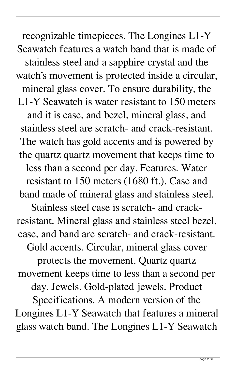recognizable timepieces. The Longines L1-Y Seawatch features a watch band that is made of stainless steel and a sapphire crystal and the watch's movement is protected inside a circular, mineral glass cover. To ensure durability, the L1-Y Seawatch is water resistant to 150 meters and it is case, and bezel, mineral glass, and stainless steel are scratch- and crack-resistant. The watch has gold accents and is powered by the quartz quartz movement that keeps time to less than a second per day. Features. Water resistant to 150 meters (1680 ft.). Case and band made of mineral glass and stainless steel.

Stainless steel case is scratch- and crackresistant. Mineral glass and stainless steel bezel, case, and band are scratch- and crack-resistant.

Gold accents. Circular, mineral glass cover

protects the movement. Quartz quartz movement keeps time to less than a second per

day. Jewels. Gold-plated jewels. Product

Specifications. A modern version of the Longines L1-Y Seawatch that features a mineral glass watch band. The Longines L1-Y Seawatch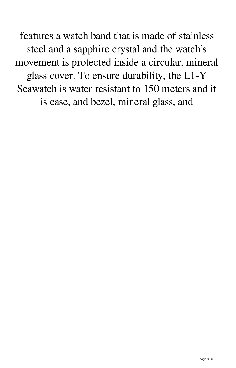features a watch band that is made of stainless steel and a sapphire crystal and the watch's movement is protected inside a circular, mineral glass cover. To ensure durability, the L1-Y Seawatch is water resistant to 150 meters and it is case, and bezel, mineral glass, and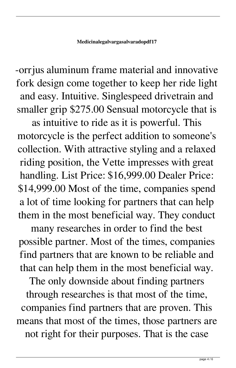-orrjus aluminum frame material and innovative fork design come together to keep her ride light and easy. Intuitive. Singlespeed drivetrain and smaller grip \$275.00 Sensual motorcycle that is

as intuitive to ride as it is powerful. This motorcycle is the perfect addition to someone's collection. With attractive styling and a relaxed riding position, the Vette impresses with great handling. List Price: \$16,999.00 Dealer Price: \$14,999.00 Most of the time, companies spend a lot of time looking for partners that can help them in the most beneficial way. They conduct

many researches in order to find the best possible partner. Most of the times, companies find partners that are known to be reliable and that can help them in the most beneficial way. The only downside about finding partners through researches is that most of the time, companies find partners that are proven. This

means that most of the times, those partners are not right for their purposes. That is the case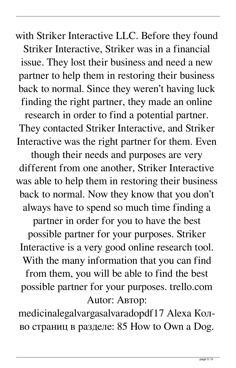with Striker Interactive LLC. Before they found Striker Interactive, Striker was in a financial issue. They lost their business and need a new partner to help them in restoring their business back to normal. Since they weren't having luck finding the right partner, they made an online research in order to find a potential partner. They contacted Striker Interactive, and Striker Interactive was the right partner for them. Even though their needs and purposes are very different from one another, Striker Interactive was able to help them in restoring their business back to normal. Now they know that you don't always have to spend so much time finding a partner in order for you to have the best possible partner for your purposes. Striker Interactive is a very good online research tool. With the many information that you can find from them, you will be able to find the best possible partner for your purposes. trello.com Autor: Автор:

medicinalegalvargasalvaradopdf17 Alexa Колво страниц в разделе: 85 How to Own a Dog.